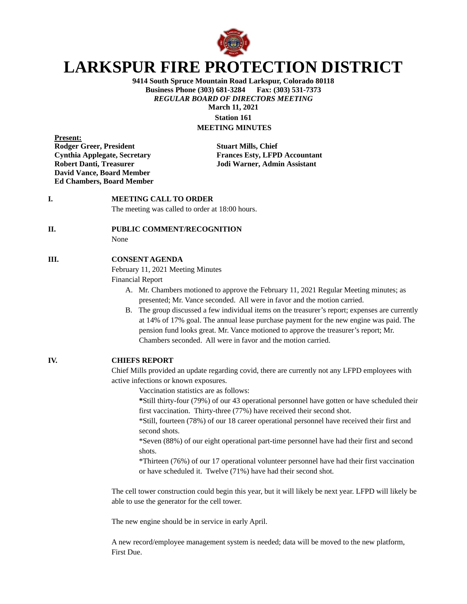

# **LARKSPUR FIRE PROTECTION DISTRICT**

**9414 South Spruce Mountain Road Larkspur, Colorado 80118 Business Phone (303) 681-3284 Fax: (303) 531-7373** *REGULAR BOARD OF DIRECTORS MEETING* **March 11, 2021 Station 161**

**MEETING MINUTES**

**Present: Rodger Greer, President Stuart Mills, Chief David Vance, Board Member Ed Chambers, Board Member**

**Cynthia Applegate, Secretary Frances Esty, LFPD Accountant Robert Danti, Treasurer Jodi Warner, Admin Assistant**

## **I. MEETING CALL TO ORDER**

The meeting was called to order at 18:00 hours.

#### **II. PUBLIC COMMENT/RECOGNITION**

None

#### **III. CONSENT AGENDA**

February 11, 2021 Meeting Minutes

Financial Report

- A. Mr. Chambers motioned to approve the February 11, 2021 Regular Meeting minutes; as presented; Mr. Vance seconded. All were in favor and the motion carried.
- B. The group discussed a few individual items on the treasurer's report; expenses are currently at 14% of 17% goal. The annual lease purchase payment for the new engine was paid. The pension fund looks great. Mr. Vance motioned to approve the treasurer's report; Mr. Chambers seconded. All were in favor and the motion carried.

#### **IV. CHIEFS REPORT**

Chief Mills provided an update regarding covid, there are currently not any LFPD employees with active infections or known exposures.

Vaccination statistics are as follows:

**\***Still thirty-four (79%) of our 43 operational personnel have gotten or have scheduled their first vaccination. Thirty-three (77%) have received their second shot.

\*Still, fourteen (78%) of our 18 career operational personnel have received their first and second shots.

\*Seven (88%) of our eight operational part-time personnel have had their first and second shots.

\*Thirteen (76%) of our 17 operational volunteer personnel have had their first vaccination or have scheduled it. Twelve (71%) have had their second shot.

The cell tower construction could begin this year, but it will likely be next year. LFPD will likely be able to use the generator for the cell tower.

The new engine should be in service in early April.

A new record/employee management system is needed; data will be moved to the new platform, First Due.